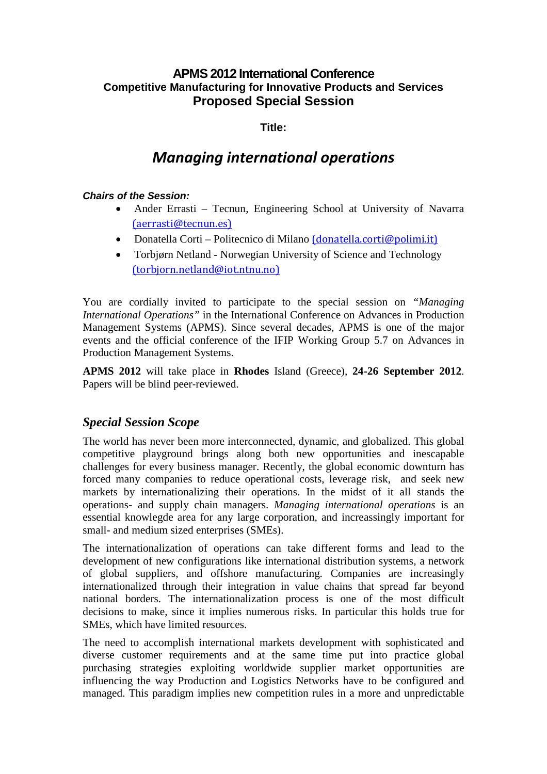# **APMS 2012 International Conference Competitive Manufacturing for Innovative Products and Services Proposed Special Session**

# **Title:**

# *Managing international operations*

#### **Chairs of the Session:**

- Ander Errasti Tecnun, Engineering School at University of Navarra (aerrasti@tecnun.es)
- Donatella Corti Politecnico di Milano (donatella.corti@polimi.it)
- Torbjørn Netland Norwegian University of Science and Technology (torbjorn.netland@iot.ntnu.no)

You are cordially invited to participate to the special session on *"Managing International Operations"* in the International Conference on Advances in Production Management Systems (APMS). Since several decades, APMS is one of the major events and the official conference of the IFIP Working Group 5.7 on Advances in Production Management Systems.

**APMS 2012** will take place in **Rhodes** Island (Greece), **24-26 September 2012**. Papers will be blind peer‐reviewed.

# *Special Session Scope*

The world has never been more interconnected, dynamic, and globalized. This global competitive playground brings along both new opportunities and inescapable challenges for every business manager. Recently, the global economic downturn has forced many companies to reduce operational costs, leverage risk, and seek new markets by internationalizing their operations. In the midst of it all stands the operations- and supply chain managers. *Managing international operations* is an essential knowlegde area for any large corporation, and increassingly important for small- and medium sized enterprises (SMEs).

The internationalization of operations can take different forms and lead to the development of new configurations like international distribution systems, a network of global suppliers, and offshore manufacturing. Companies are increasingly internationalized through their integration in value chains that spread far beyond national borders. The internationalization process is one of the most difficult decisions to make, since it implies numerous risks. In particular this holds true for SMEs, which have limited resources.

The need to accomplish international markets development with sophisticated and diverse customer requirements and at the same time put into practice global purchasing strategies exploiting worldwide supplier market opportunities are influencing the way Production and Logistics Networks have to be configured and managed. This paradigm implies new competition rules in a more and unpredictable